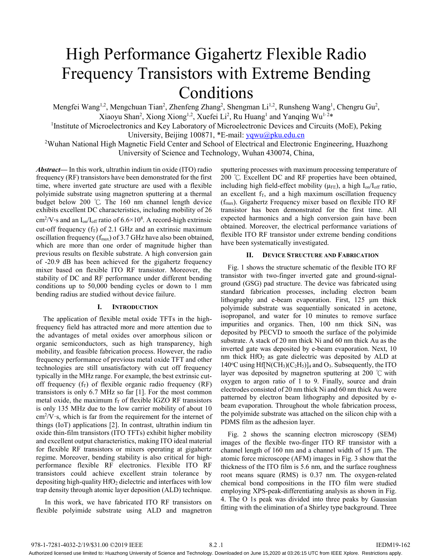# High Performance Gigahertz Flexible Radio Frequency Transistors with Extreme Bending Conditions

Mengfei Wang<sup>1,2</sup>, Mengchuan Tian<sup>2</sup>, Zhenfeng Zhang<sup>2</sup>, Shengman Li<sup>1,2</sup>, Runsheng Wang<sup>1</sup>, Chengru Gu<sup>2</sup>, Xiaoyu Shan<sup>2</sup>, Xiong Xiong<sup>1,2</sup>, Xuefei Li<sup>2</sup>, Ru Huang<sup>1</sup> and Yanqing Wu<sup>1,2\*</sup>

<sup>1</sup>Institute of Microelectronics and Key Laboratory of Microelectronic Devices and Circuits (MoE), Peking University, Beijing 100871, \*E-mail: yqwu@pku.edu.cn

<sup>2</sup>Wuhan National High Magnetic Field Center and School of Electrical and Electronic Engineering, Huazhong University of Science and Technology, Wuhan 430074, China,

*Abstract***—** In this work, ultrathin indium tin oxide (ITO) radio frequency (RF) transistors have been demonstrated for the first time, where inverted gate structure are used with a flexible polyimide substrate using magnetron sputtering at a thermal budget below 200 ℃. The 160 nm channel length device exhibits excellent DC characteristics, including mobility of 26 cm<sup>2</sup>/V·s and an  $I_{on}/I_{off}$  ratio of 6.6×10<sup>8</sup>. A record-high extrinsic cut-off frequency  $(f_T)$  of 2.1 GHz and an extrinsic maximum oscillation frequency ( $f_{\text{max}}$ ) of 3.7 GHz have also been obtained, which are more than one order of magnitude higher than previous results on flexible substrate. A high conversion gain of -20.9 dB has been achieved for the gigahertz frequency mixer based on flexible ITO RF transistor. Moreover, the stability of DC and RF performance under different bending conditions up to 50,000 bending cycles or down to 1 mm bending radius are studied without device failure.

## **I. INTRODUCTION**

The application of flexible metal oxide TFTs in the highfrequency field has attracted more and more attention due to the advantages of metal oxides over amorphous silicon or organic semiconductors, such as high transparency, high mobility, and feasible fabrication process. However, the radio frequency performance of previous metal oxide TFT and other technologies are still unsatisfactory with cut off frequency typically in the MHz range. For example, the best extrinsic cutoff frequency  $(f_T)$  of flexible organic radio frequency  $(RF)$ transistors is only 6.7 MHz so far [1]. For the most common metal oxide, the maximum  $f<sub>T</sub>$  of flexible IGZO RF transistors is only 135 MHz due to the low carrier mobility of about 10 cm2 /V·s, which is far from the requirement for the internet of things (IoT) applications [2]. In contrast, ultrathin indium tin oxide thin-film transistors (ITO TFTs) exhibit higher mobility and excellent output characteristics, making ITO ideal material for flexible RF transistors or mixers operating at gigahertz regime. Moreover, bending stability is also critical for highperformance flexible RF electronics. Flexible ITO RF transistors could achieve excellent strain tolerance by depositing high-quality  $HfO<sub>2</sub>$  dielectric and interfaces with low trap density through atomic layer deposition (ALD) technique.

 In this work, we have fabricated ITO RF transistors on flexible polyimide substrate using ALD and magnetron sputtering processes with maximum processing temperature of 200 ℃. Excellent DC and RF properties have been obtained, including high field-effect mobility ( $\mu$ <sub>FE</sub>), a high I<sub>on</sub>/I<sub>off</sub> ratio, an excellent  $f_T$ , and a high maximum oscillation frequency (fmax). Gigahertz Frequency mixer based on flexible ITO RF transistor has been demonstrated for the first time. All expected harmonics and a high conversion gain have been obtained. Moreover, the electrical performance variations of flexible ITO RF transistor under extreme bending conditions have been systematically investigated.

#### **II. DEVICE STRUCTURE AND FABRICATION**

Fig. 1 shows the structure schematic of the flexible ITO RF transistor with two-finger inverted gate and ground-signalground (GSG) pad structure. The device was fabricated using standard fabrication processes, including electron beam lithography and e-beam evaporation. First, 125 μm thick polyimide substrate was sequentially sonicated in acetone, isopropanol, and water for 10 minutes to remove surface impurities and organics. Then, 100 nm thick  $\text{SiN}_x$  was deposited by PECVD to smooth the surface of the polyimide substrate. A stack of 20 nm thick Ni and 60 nm thick Au as the inverted gate was deposited by e-beam evaporation. Next, 10 nm thick  $HfO<sub>2</sub>$  as gate dielectric was deposited by ALD at 140°C using Hf[N(CH<sub>3</sub>)(C<sub>2</sub>H<sub>5</sub>)]<sub>4</sub> and O<sub>3</sub>. Subsequently, the ITO layer was deposited by magnetron sputtering at 200 ℃ with oxygen to argon ratio of 1 to 9. Finally, source and drain electrodes consisted of 20 nm thick Ni and 60 nm thick Au were patterned by electron beam lithography and deposited by ebeam evaporation. Throughout the whole fabrication process, the polyimide substrate was attached on the silicon chip with a PDMS film as the adhesion layer.

Fig. 2 shows the scanning electron microscopy (SEM) images of the flexible two-finger ITO RF transistor with a channel length of 160 nm and a channel width of 15 μm. The atomic force microscope (AFM) images in Fig. 3 show that the thickness of the ITO film is 5.6 nm, and the surface roughness root means square (RMS) is 0.37 nm. The oxygen-related chemical bond compositions in the ITO film were studied employing XPS-peak-differentiating analysis as shown in Fig. 4. The O 1s peak was divided into three peaks by Gaussian fitting with the elimination of a Shirley type background. Three

Authorized licensed use limited to: Huazhong University of Science and Technology. Downloaded on June 15,2020 at 03:26:15 UTC from IEEE Xplore. Restrictions apply.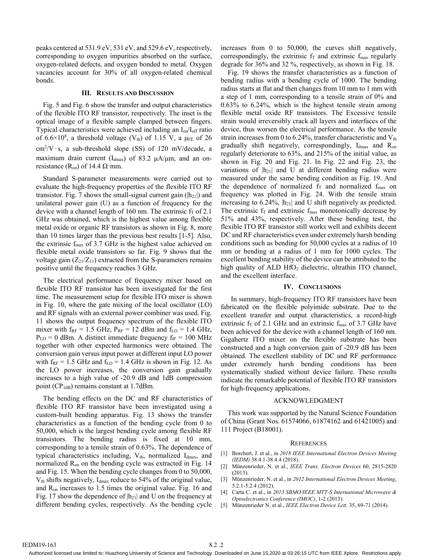peaks centered at 531.9 eV, 531 eV, and 529.6 eV, respectively, corresponding to oxygen impurities absorbed on the surface, oxygen-related defects, and oxygen bonded to metal. Oxygen vacancies account for 30% of all oxygen-related chemical bonds.

## **III. RESULTS AND DISCUSSION**

Fig. 5 and Fig. 6 show the transfer and output characteristics of the flexible ITO RF transistor, respectively. The inset is the optical image of a flexible sample clamped between fingers. Typical characteristics were achieved including an  $I_{on}/I_{off}$  ratio of 6.6 $\times$ 10<sup>8</sup>, a threshold voltage (V<sub>th</sub>) of 1.15 V, a  $\mu$ <sub>FE</sub> of 26 cm<sup>2</sup>/V·s, a sub-threshold slope (SS) of 120 mV/decade, a maximum drain current ( $I_{dmax}$ ) of 83.2  $\mu$ A/ $\mu$ m, and an onresistance ( $R_{on}$ ) of 14.4  $\Omega$ ·mm.

Standard S-parameter measurements were carried out to evaluate the high-frequency properties of the flexible ITO RF transistor. Fig. 7 shows the small-signal current gain ( $|h_{21}|\$ ) and unilateral power gain (U) as a function of frequency for the device with a channel length of 160 nm. The extrinsic  $f<sub>T</sub>$  of 2.1 GHz was obtained, which is the highest value among flexible metal oxide or organic RF transistors as shown in Fig. 8, more than 10 times larger than the previous best results [1-5]. Also, the extrinsic  $f_{\text{max}}$  of 3.7 GHz is the highest value achieved on flexible metal oxide transistors so far. Fig. 9 shows that the voltage gain  $(Z_{21}/Z_{11})$  extracted from the S-parameters remains positive until the frequency reaches 3 GHz.

The electrical performance of frequency mixer based on flexible ITO RF transistor has been investigated for the first time. The measurement setup for flexible ITO mixer is shown in Fig. 10, where the gate mixing of the local oscillator (LO) and RF signals with an external power combiner was used. Fig. 11 shows the output frequency spectrum of the flexible ITO mixer with  $f_{RF} = 1.5$  GHz,  $P_{RF} = 12$  dBm and  $f_{LO} = 1.4$  GHz,  $P_{LO} = 0$  dBm. A distinct immediate frequency  $f_{IF} = 100$  MHz together with other expected harmonics were obtained. The conversion gain versus input power at different input LO power with  $f_{RF} = 1.5$  GHz and  $f_{LO} = 1.4$  GHz is shown in Fig. 12. As the LO power increases, the conversion gain gradually increases to a high value of -20.9 dB and 1dB compression point ( $CP<sub>1dB</sub>$ ) remains constant at 1.7dBm.

The bending effects on the DC and RF characteristics of flexible ITO RF transistor have been investigated using a custom-built bending apparatus. Fig. 13 shows the transfer characteristics as a function of the bending cycle from 0 to 50,000, which is the largest bending cycle among flexible RF transistors. The bending radius is fixed at 10 mm, corresponding to a tensile strain of 0.63%. The dependence of typical characteristics including,  $V_{th}$ , normalized  $I_{dmax}$ , and normalized  $R_{on}$  on the bending cycle was extracted in Fig. 14 and Fig. 15. When the bending cycle changes from 0 to 50,000, V<sub>th</sub> shifts negatively, I<sub>dmax</sub> reduce to 54% of the original value, and  $R_{on}$  increases to 1.5 times the original value. Fig. 16 and Fig. 17 show the dependence of  $|h_{21}|$  and U on the frequency at different bending cycles, respectively. As the bending cycle increases from 0 to 50,000, the curves shift negatively, correspondingly, the extrinsic  $f_T$  and extrinsic  $f_{\text{max}}$  regularly degrade for 36% and 32 %, respectively, as shown in Fig. 18.

Fig. 19 shows the transfer characteristics as a function of bending radius with a bending cycle of 1000. The bending radius starts at flat and then changes from 10 mm to 1 mm with a step of 1 mm, corresponding to a tensile strain of 0% and 0.63% to 6.24%, which is the highest tensile strain among flexible metal oxide RF transistors. The Excessive tensile strain would irreversibly crack all layers and interfaces of the device, thus worsen the electrical performance. As the tensile strain increases from 0 to 6.24%, transfer characteristic and  $V_{th}$ gradually shift negatively, correspondingly,  $I_{dmax}$  and  $R_{on}$ regularly deteriorate to 63%, and 215% of the initial value, as shown in Fig. 20 and Fig. 21. In Fig. 22 and Fig. 23, the variations of  $|h_{21}|$  and U at different bending radius were measured under the same bending condition as Fig. 19. And the dependence of normalized  $f_T$  and normalized  $f_{\text{max}}$  on frequency was plotted in Fig. 24. With the tensile strain increasing to  $6.24\%$ ,  $|h_{21}|$  and U shift negatively as predicted. The extrinsic  $f_T$  and extrinsic  $f_{\text{max}}$  monotonically decrease by 51% and 43%, respectively. After these bending test, the flexible ITO RF transistor still works well and exhibits decent DC and RF characteristics even under extremely harsh bending conditions such as bending for 50,000 cycles at a radius of 10 mm or bending at a radius of 1 mm for 1000 cycles. The excellent bending stability of the device can be attributed to the high quality of ALD HfO<sub>2</sub> dielectric, ultrathin ITO channel, and the excellent interface.

## **IV. CONCLUSIONS**

In summary, high-frequency ITO RF transistors have been fabricated on the flexible polyimide substrate. Due to the excellent transfer and output characteristics, a record-high extrinsic  $f_T$  of 2.1 GHz and an extrinsic  $f_{\text{max}}$  of 3.7 GHz have been achieved for the device with a channel length of 160 nm. Gigahertz ITO mixer on the flexible substrate has been constructed and a high conversion gain of -20.9 dB has been obtained. The excellent stability of DC and RF performance under extremely harsh bending conditions has been systematically studied without device failure. These results indicate the remarkable potential of flexible ITO RF transistors for high-frequency applications.

## ACKNOWLEDGMENT

This work was supported by the Natural Science Foundation of China (Grant Nos. 61574066, 61874162 and 61421005) and 111 Project (B18001).

## **REFERENCES**

- [1] Borchert, J. et al., in 2018 IEEE International Electron Devices Meeting *(IEDM)* 38.4.1-38.4.4 (2018).
- [2] Münzenrieder, N. et al., *IEEE Trans. Electron Devices* 60, 2815-2820  $(2013)$
- [3] Münzenrieder, N. et al., in *2012 International Electron Devices Meeting*, 5.2.1-5.2.4 (2012).
- [4] Carta C. et al., in *2013 SBMO/IEEE MTT-S International Microwave & Optoelectronics Conference (IMOC)*, 1-2 (2013).
- [5] Münzenrieder N. et al., *IEEE Electron Device Lett.* 35, 69-71 (2014).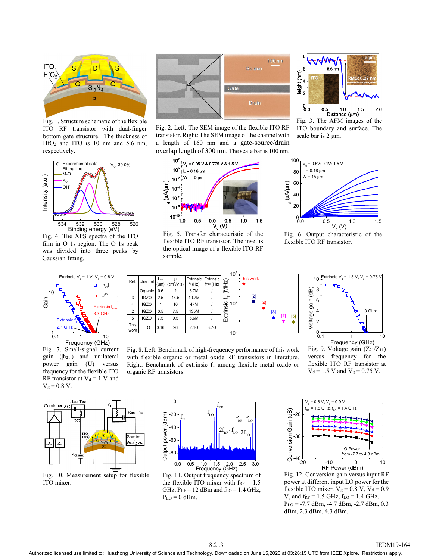

Fig. 1. Structure schematic of the flexible ITO RF transistor with dual-finger bottom gate structure. The thickness of HfO2 and ITO is 10 nm and 5.6 nm, respectively.



Fig. 4. The XPS spectra of the ITO film in O 1s region. The O 1s peak was divided into three peaks by Gaussian fitting.



Fig. 7. Small-signal current gain  $(|h_{21}|)$  and unilateral power gain (U) versus frequency for the flexible ITO RF transistor at  $V_d = 1$  V and  $V_g = 0.8 V$ .



Fig. 2. Left: The SEM image of the flexible ITO RF transistor. Right: The SEM image of the channel with a length of 160 nm and a gate-source/drain overlap length of 300 nm. The scale bar is 100 nm.



flexible ITO RF transistor. The inset is the optical image of a flexible ITO RF sample.



 $6.0$   $6.5$   $1.0$   $1.5$   $2.0$ <br>Distance ( $\mu$ m)<br>Fig. 3. The AFM images of the ITO boundary and surface. The scale bar is 2 μm.



Fig. 6. Output characteristic of the flexible ITO RF transistor.



Fig. 8. Left: Benchmark of high-frequency performance of this work with flexible organic or metal oxide RF transistors in literature. Right: Benchmark of extrinsic fr among flexible metal oxide or organic RF transistors.



Fig. 9. Voltage gain  $(Z_{21}/Z_{11})$ versus frequency for the flexible ITO RF transistor at  $V_d = 1.5$  V and  $V_g = 0.75$  V. Frequency (GHz)



Fig. 10. Measurement setup for flexible ITO mixer.



Fig. 11. Output frequency spectrum of the flexible ITO mixer with  $f_{RF} = 1.5$ GHz,  $P_{RF}$  = 12 dBm and f<sub>LO</sub> = 1.4 GHz,  $P_{LO} = 0$  dBm.



Fig. 12. Conversion gain versus input RF power at different input LO power for the flexible ITO mixer.  $V_g = 0.8$  V,  $V_d = 0.9$ V, and  $f_{RF} = 1.5$  GHz,  $f_{LO} = 1.4$  GHz.  $P_{LO} = -7.7$  dBm,  $-4.7$  dBm,  $-2.7$  dBm, 0.3 dBm, 2.3 dBm, 4.3 dBm.